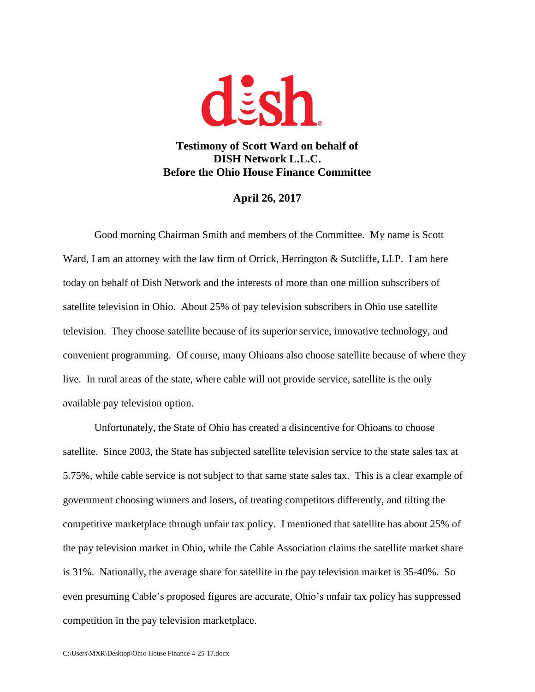

**Testimony of Scott Ward on behalf of DISH Network L.L.C. Before the Ohio House Finance Committee**

## **April 26, 2017**

Good morning Chairman Smith and members of the Committee. My name is Scott Ward, I am an attorney with the law firm of Orrick, Herrington & Sutcliffe, LLP. I am here today on behalf of Dish Network and the interests of more than one million subscribers of satellite television in Ohio. About 25% of pay television subscribers in Ohio use satellite television. They choose satellite because of its superior service, innovative technology, and convenient programming. Of course, many Ohioans also choose satellite because of where they live. In rural areas of the state, where cable will not provide service, satellite is the only available pay television option.

Unfortunately, the State of Ohio has created a disincentive for Ohioans to choose satellite. Since 2003, the State has subjected satellite television service to the state sales tax at 5.75%, while cable service is not subject to that same state sales tax. This is a clear example of government choosing winners and losers, of treating competitors differently, and tilting the competitive marketplace through unfair tax policy. I mentioned that satellite has about 25% of the pay television market in Ohio, while the Cable Association claims the satellite market share is 31%. Nationally, the average share for satellite in the pay television market is 35-40%. So even presuming Cable's proposed figures are accurate, Ohio's unfair tax policy has suppressed competition in the pay television marketplace.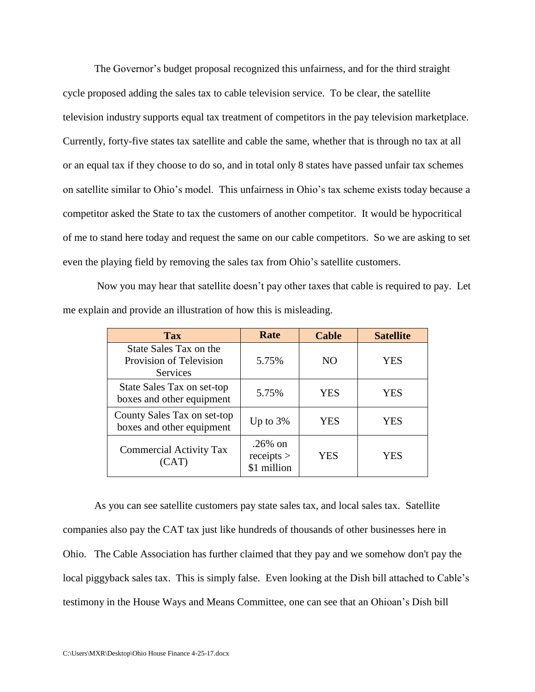The Governor's budget proposal recognized this unfairness, and for the third straight cycle proposed adding the sales tax to cable television service. To be clear, the satellite television industry supports equal tax treatment of competitors in the pay television marketplace. Currently, forty-five states tax satellite and cable the same, whether that is through no tax at all or an equal tax if they choose to do so, and in total only 8 states have passed unfair tax schemes on satellite similar to Ohio's model. This unfairness in Ohio's tax scheme exists today because a competitor asked the State to tax the customers of another competitor. It would be hypocritical of me to stand here today and request the same on our cable competitors. So we are asking to set even the playing field by removing the sales tax from Ohio's satellite customers.

Now you may hear that satellite doesn't pay other taxes that cable is required to pay. Let me explain and provide an illustration of how this is misleading.

| <b>Tax</b>                                                           | Rate                                  | <b>Cable</b>   | <b>Satellite</b> |
|----------------------------------------------------------------------|---------------------------------------|----------------|------------------|
| State Sales Tax on the<br>Provision of Television<br><b>Services</b> | 5.75%                                 | N <sub>O</sub> | YES              |
| State Sales Tax on set-top<br>boxes and other equipment              | 5.75%                                 | YES            | <b>YES</b>       |
| County Sales Tax on set-top<br>boxes and other equipment             | Up to $3\%$                           | <b>YES</b>     | YES              |
| <b>Commercial Activity Tax</b><br>(CAT)                              | $.26\%$ on<br>receipts<br>\$1 million | YES            | YES              |

As you can see satellite customers pay state sales tax, and local sales tax. Satellite companies also pay the CAT tax just like hundreds of thousands of other businesses here in Ohio. The Cable Association has further claimed that they pay and we somehow don't pay the local piggyback sales tax. This is simply false. Even looking at the Dish bill attached to Cable's testimony in the House Ways and Means Committee, one can see that an Ohioan's Dish bill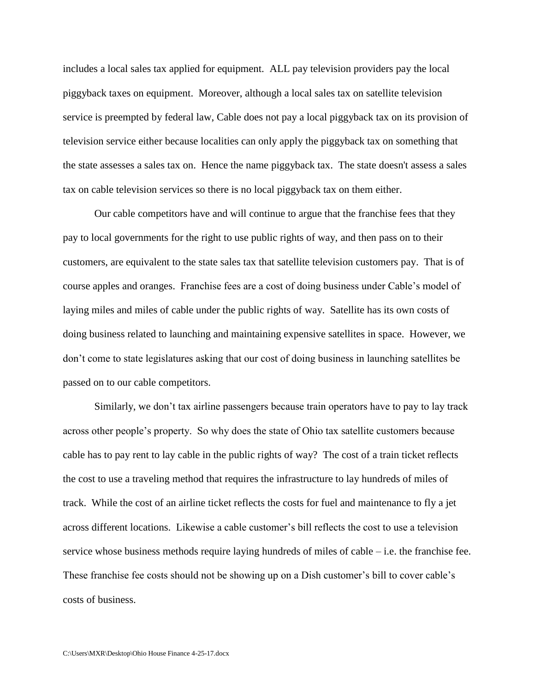includes a local sales tax applied for equipment. ALL pay television providers pay the local piggyback taxes on equipment. Moreover, although a local sales tax on satellite television service is preempted by federal law, Cable does not pay a local piggyback tax on its provision of television service either because localities can only apply the piggyback tax on something that the state assesses a sales tax on. Hence the name piggyback tax. The state doesn't assess a sales tax on cable television services so there is no local piggyback tax on them either.

Our cable competitors have and will continue to argue that the franchise fees that they pay to local governments for the right to use public rights of way, and then pass on to their customers, are equivalent to the state sales tax that satellite television customers pay. That is of course apples and oranges. Franchise fees are a cost of doing business under Cable's model of laying miles and miles of cable under the public rights of way. Satellite has its own costs of doing business related to launching and maintaining expensive satellites in space. However, we don't come to state legislatures asking that our cost of doing business in launching satellites be passed on to our cable competitors.

Similarly, we don't tax airline passengers because train operators have to pay to lay track across other people's property. So why does the state of Ohio tax satellite customers because cable has to pay rent to lay cable in the public rights of way? The cost of a train ticket reflects the cost to use a traveling method that requires the infrastructure to lay hundreds of miles of track. While the cost of an airline ticket reflects the costs for fuel and maintenance to fly a jet across different locations. Likewise a cable customer's bill reflects the cost to use a television service whose business methods require laying hundreds of miles of cable – i.e. the franchise fee. These franchise fee costs should not be showing up on a Dish customer's bill to cover cable's costs of business.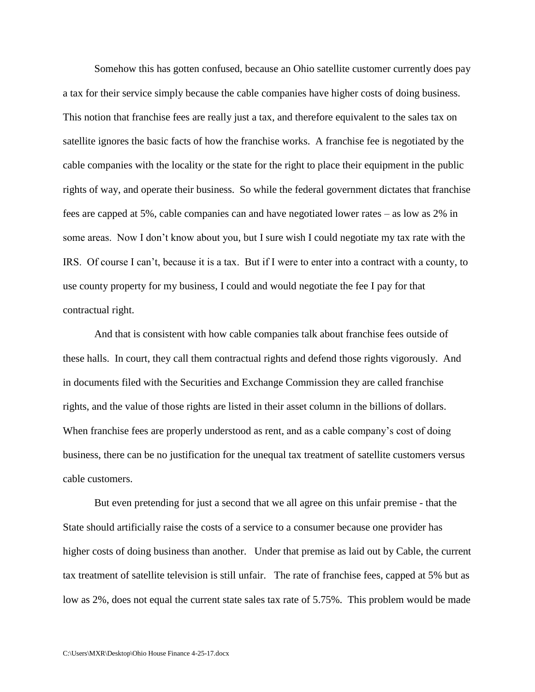Somehow this has gotten confused, because an Ohio satellite customer currently does pay a tax for their service simply because the cable companies have higher costs of doing business. This notion that franchise fees are really just a tax, and therefore equivalent to the sales tax on satellite ignores the basic facts of how the franchise works. A franchise fee is negotiated by the cable companies with the locality or the state for the right to place their equipment in the public rights of way, and operate their business. So while the federal government dictates that franchise fees are capped at 5%, cable companies can and have negotiated lower rates – as low as 2% in some areas. Now I don't know about you, but I sure wish I could negotiate my tax rate with the IRS. Of course I can't, because it is a tax. But if I were to enter into a contract with a county, to use county property for my business, I could and would negotiate the fee I pay for that contractual right.

And that is consistent with how cable companies talk about franchise fees outside of these halls. In court, they call them contractual rights and defend those rights vigorously. And in documents filed with the Securities and Exchange Commission they are called franchise rights, and the value of those rights are listed in their asset column in the billions of dollars. When franchise fees are properly understood as rent, and as a cable company's cost of doing business, there can be no justification for the unequal tax treatment of satellite customers versus cable customers.

But even pretending for just a second that we all agree on this unfair premise - that the State should artificially raise the costs of a service to a consumer because one provider has higher costs of doing business than another. Under that premise as laid out by Cable, the current tax treatment of satellite television is still unfair. The rate of franchise fees, capped at 5% but as low as 2%, does not equal the current state sales tax rate of 5.75%. This problem would be made